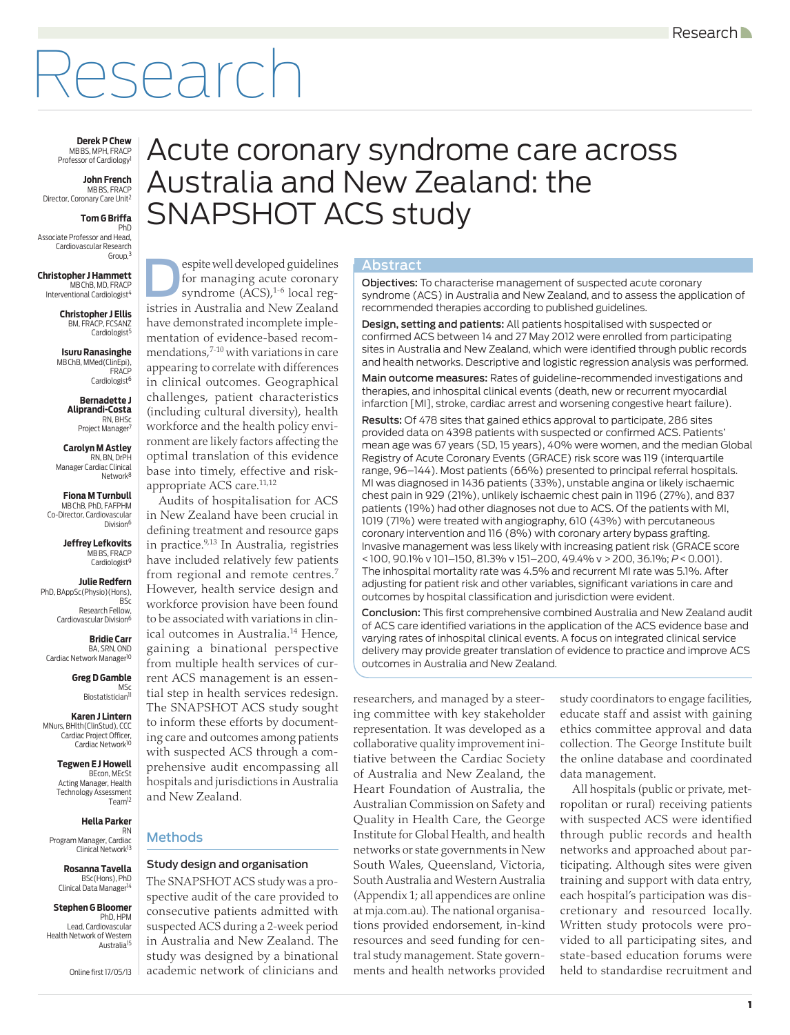# Research

espite well developed guidelines<br>
for managing acute coronary<br>
syndrome (ACS),<sup>1-6</sup> local regfor managing acute coronary

istries in Australia and New Zealand have demonstrated incomplete implementation of evidence-based recommendations,7-10 with variations in care appearing to correlate with differences in clinical outcomes. Geographical challenges, patient characteristics (including cultural diversity), health workforce and the health policy environment are likely factors affecting the optimal translation of this evidence base into timely, effective and risk-

appropriate ACS care.11,12

and New Zealand.

Study design and organisation The SNAPSHOT ACS study was a prospective audit of the care provided to consecutive patients admitted with suspected ACS during a 2-week period in Australia and New Zealand. The study was designed by a binational academic network of clinicians and

**Methods** 

Audits of hospitalisation for ACS in New Zealand have been crucial in defining treatment and resource gaps in practice.9,13 In Australia, registries have included relatively few patients from regional and remote centres.<sup>7</sup> However, health service design and workforce provision have been found to be associated with variations in clinical outcomes in Australia.<sup>14</sup> Hence, gaining a binational perspective from multiple health services of current ACS management is an essential step in health services redesign. The SNAPSHOT ACS study sought to inform these efforts by documenting care and outcomes among patients with suspected ACS through a comprehensive audit encompassing all hospitals and jurisdictions in Australia

 **Derek P Chew** MB BS, MPH, FRACP Professor of Cardiology

**John French** MB BS, FRACP Director, Coronary Care Unit2

> **Tom G Briffa** PhD

Associate Professor and Head, Cardiovascular Research Group.<sup>3</sup>

**Christopher J Hammett** MB ChB, MD, FRACP Interventional Cardiologist<sup>4</sup>

> **Christopher J Ellis** BM, FRACP, FCSANZ Cardiologist<sup>5</sup>

**Isuru Ranasinghe** MB ChB, MMed(ClinEpi), **FRACP** Cardiologist<sup>6</sup>

> **Bernadette J Aliprandi-Costa** RN, BHSc

Project Manager<sup>7</sup>

**Carolyn M Astley** RN, BN, DrPH Manager Cardiac Clinical Network<sup>8</sup>

**Fiona M Turnbull** MB ChB, PhD, FAFPHM Co-Director, Cardiovascular Division6

> **Jeffrey Lefkovits** MBRS, FRACP Cardiologist<sup>9</sup>

**Julie Redfern** PhD, BAppSc(Physio)(Hons), **BSc** Research Fellow, Cardiovascular Division<sup>6</sup>

**Bridie Carr**

BA, SRN, OND Cardiac Network Manager10

> **Greg D Gamble** MSc

Biostatistician<sup>11</sup>

**Karen J Lintern** MNurs, BHlth(ClinStud), CCC Cardiac Project Officer, Cardiac Network<sup>10</sup>

> **Tegwen E J Howell** BEcon, MEcSt Acting Manager, Health Technology Assessment Team12

> > **Hella Parker**

RN Program Manager, Cardiac Clinical Network13

> **Rosanna Tavella** BSc(Hons), PhD<br>Clinical Data Manager<sup>14</sup>

**Stephen G Bloomer** PhD, HPM

Lead, Cardiovascular Health Network of Western Australia15

Online first 17/05/13

## Acute coronary syndrome care across Australia and New Zealand: the SNAPSHOT ACS study

#### Abstract

Objectives: To characterise management of suspected acute coronary syndrome (ACS) in Australia and New Zealand, and to assess the application of recommended therapies according to published guidelines.

Design, setting and patients: All patients hospitalised with suspected or confirmed ACS between 14 and 27 May 2012 were enrolled from participating sites in Australia and New Zealand, which were identified through public records and health networks. Descriptive and logistic regression analysis was performed.

Main outcome measures: Rates of guideline-recommended investigations and therapies, and inhospital clinical events (death, new or recurrent myocardial infarction [MI], stroke, cardiac arrest and worsening congestive heart failure).

Results: Of 478 sites that gained ethics approval to participate, 286 sites provided data on 4398 patients with suspected or confirmed ACS. Patients' mean age was 67 years (SD, 15 years), 40% were women, and the median Global Registry of Acute Coronary Events (GRACE) risk score was 119 (interquartile range, 96–144). Most patients (66%) presented to principal referral hospitals. MI was diagnosed in 1436 patients (33%), unstable angina or likely ischaemic chest pain in 929 (21%), unlikely ischaemic chest pain in 1196 (27%), and 837 patients (19%) had other diagnoses not due to ACS. Of the patients with MI, 1019 (71%) were treated with angiography, 610 (43%) with percutaneous coronary intervention and 116 (8%) with coronary artery bypass grafting. Invasive management was less likely with increasing patient risk (GRACE score < 100, 90.1% v 101–150, 81.3% v 151–200, 49.4% v > 200, 36.1%; *P* < 0.001). The inhospital mortality rate was 4.5% and recurrent MI rate was 5.1%. After adjusting for patient risk and other variables, significant variations in care and outcomes by hospital classification and jurisdiction were evident.

Conclusion: This first comprehensive combined Australia and New Zealand audit of ACS care identified variations in the application of the ACS evidence base and varying rates of inhospital clinical events. A focus on integrated clinical service delivery may provide greater translation of evidence to practice and improve ACS outcomes in Australia and New Zealand.

researchers, and managed by a steering committee with key stakeholder representation. It was developed as a collaborative quality improvement initiative between the Cardiac Society of Australia and New Zealand, the Heart Foundation of Australia, the Australian Commission on Safety and Quality in Health Care, the George Institute for Global Health, and health networks or state governments in New South Wales, Queensland, Victoria, South Australia and Western Australia (Appendix 1; all appendices are online at mja.com.au). The national organisations provided endorsement, in-kind resources and seed funding for central study management. State governments and health networks provided study coordinators to engage facilities, educate staff and assist with gaining ethics committee approval and data collection. The George Institute built the online database and coordinated data management.

All hospitals (public or private, metropolitan or rural) receiving patients with suspected ACS were identified through public records and health networks and approached about participating. Although sites were given training and support with data entry, each hospital's participation was discretionary and resourced locally. Written study protocols were provided to all participating sites, and state-based education forums were held to standardise recruitment and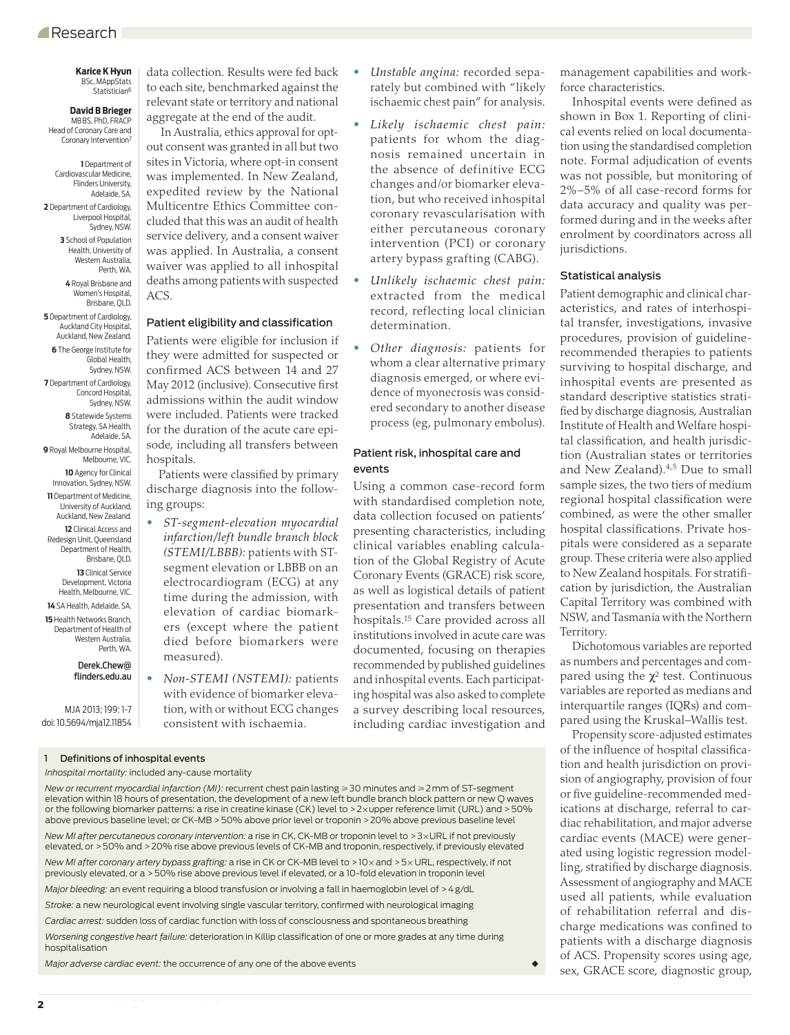#### **Karice K Hyun BSc**, MAppStats Statistician

**David B Brieger** MB BS, PhD, FRACP Head of Coronary Care and Coronary Intervention<sup>7</sup>

**1** Department of Cardiovascular Medicine, Flinders University, Adelaide, SA. **2** Department of Cardiology,

Liverpool Hospital, Sydney, NSW.

**3** School of Population Health, University of Western Australia, Perth, WA. **4** Royal Brisbane and

Women's Hospital, Brisbane, QLD.

**5** Department of Cardiology, Auckland City Hospital, Auckland, New Zealand. **6** The George Institute for Global Health, Sydney, NSW.

**7** Department of Cardiology, Concord Hospital, Sydney, NSW. **8** Statewide Systems Strategy, SA Health. Adelaide, SA.

**9** Royal Melbourne Hospital, Melbourne, VIC. **10** Agency for Clinical Innovation, Sydney, NSW. **11** Department of Medicine, University of Auckland, Auckland, New Zealand. **12** Clinical Access and Redesign Unit, Queensland Department of Health, Brisbane, QLD. **13** Clinical Service Development, Victoria Health, Melbourne, VIC.

**14** SA Health, Adelaide, SA. **15** Health Networks Branch, Department of Health of Western Australia, Perth, WA.

> Derek.Chew@ flinders edu au

MJA 2013; 199: 1-7 doi: 10.5694/mja12.11854

#### data collection. Results were fed back to each site, benchmarked against the relevant state or territory and national aggregate at the end of the audit.

 In Australia, ethics approval for optout consent was granted in all but two sites in Victoria, where opt-in consent was implemented. In New Zealand, expedited review by the National Multicentre Ethics Committee concluded that this was an audit of health service delivery, and a consent waiver was applied. In Australia, a consent waiver was applied to all inhospital deaths among patients with suspected ACS.

#### Patient eligibility and classification

Patients were eligible for inclusion if they were admitted for suspected or confirmed ACS between 14 and 27 May 2012 (inclusive). Consecutive first admissions within the audit window were included. Patients were tracked for the duration of the acute care episode, including all transfers between hospitals.

Patients were classified by primary discharge diagnosis into the following groups:

- *ST-segment-elevation myocardial infarction/left bundle branch block (STEMI/LBBB):* patients with STsegment elevation or LBBB on an electrocardiogram (ECG) at any time during the admission, with elevation of cardiac biomarkers (except where the patient died before biomarkers were measured).
- *Non-STEMI (NSTEMI):* patients with evidence of biomarker elevation, with or without ECG changes consistent with ischaemia.
- *Unstable angina:* recorded separately but combined with "likely ischaemic chest pain" for analysis.
- *Likely ischaemic chest pain:* patients for whom the diagnosis remained uncertain in the absence of definitive ECG changes and/or biomarker elevation, but who received inhospital coronary revascularisation with either percutaneous coronary intervention (PCI) or coronary artery bypass grafting (CABG).
- *Unlikely ischaemic chest pain:* extracted from the medical record, reflecting local clinician determination.
- *Other diagnosis:* patients for whom a clear alternative primary diagnosis emerged, or where evidence of myonecrosis was considered secondary to another disease process (eg, pulmonary embolus).

#### Patient risk, inhospital care and events

Using a common case-record form with standardised completion note, data collection focused on patients' presenting characteristics, including clinical variables enabling calculation of the Global Registry of Acute Coronary Events (GRACE) risk score, as well as logistical details of patient presentation and transfers between hospitals.15 Care provided across all institutions involved in acute care was documented, focusing on therapies recommended by published guidelines and inhospital events. Each participating hospital was also asked to complete a survey describing local resources, including cardiac investigation and

1 Definitions of inhospital events *Inhospital mortality:* included any-cause mortality

*New or recurrent myocardial infarction (MI):* recurrent chest pain lasting ≥ 30 minutes and ≥2mm of ST-segment elevation within 18 hours of presentation, the development of a new left bundle branch block pattern or new Q waves or the following biomarker patterns: a rise in creatine kinase (CK) level to >2xupper reference limit (URL) and >50% above previous baseline level; or CK-MB > 50% above prior level or troponin > 20% above previous baseline level *New MI after percutaneous coronary intervention: a rise in CK, CK-MB or troponin level to > 3 x URL if not previously* elevated, or > 50% and > 20% rise above previous levels of CK-MB and troponin, respectively, if previously elevated *New MI after coronary artery bypass grafting:* a rise in CK or CK-MB level to > 10 x and > 5 x URL, respectively, if not previously elevated, or a > 50% rise above previous level if elevated, or a 10-fold elevation in troponin level *Major bleeding:* an event requiring a blood transfusion or involving a fall in haemoglobin level of > 4 g/dL *Stroke:* a new neurological event involving single vascular territory, confirmed with neurological imaging *Cardiac arrest:* sudden loss of cardiac function with loss of consciousness and spontaneous breathing

*Worsening congestive heart failure: deterioration in Killip classification of one or more grades at any time during* hospitalisation

*Major adverse cardiac event:* the occurrence of any one of the above events

management capabilities and workforce characteristics.

Inhospital events were defined as shown in Box 1. Reporting of clinical events relied on local documentation using the standardised completion note. Formal adjudication of events was not possible, but monitoring of 2%–5% of all case-record forms for data accuracy and quality was performed during and in the weeks after enrolment by coordinators across all jurisdictions.

#### Statistical analysis

Patient demographic and clinical characteristics, and rates of interhospital transfer, investigations, invasive procedures, provision of guidelinerecommended therapies to patients surviving to hospital discharge, and inhospital events are presented as standard descriptive statistics stratified by discharge diagnosis, Australian Institute of Health and Welfare hospital classification, and health jurisdiction (Australian states or territories and New Zealand).<sup>4,5</sup> Due to small sample sizes, the two tiers of medium regional hospital classification were combined, as were the other smaller hospital classifications. Private hospitals were considered as a separate group. These criteria were also applied to New Zealand hospitals. For stratification by jurisdiction, the Australian Capital Territory was combined with NSW, and Tasmania with the Northern Territory.

Dichotomous variables are reported as numbers and percentages and compared using the  $\chi^2$  test. Continuous variables are reported as medians and interquartile ranges (IQRs) and compared using the Kruskal–Wallis test.

Propensity score-adjusted estimates of the influence of hospital classification and health jurisdiction on provision of angiography, provision of four or five guideline-recommended medications at discharge, referral to cardiac rehabilitation, and major adverse cardiac events (MACE) were generated using logistic regression modelling, stratified by discharge diagnosis. Assessment of angiography and MACE used all patients, while evaluation of rehabilitation referral and discharge medications was confined to patients with a discharge diagnosis of ACS. Propensity scores using age, sex, GRACE score, diagnostic group,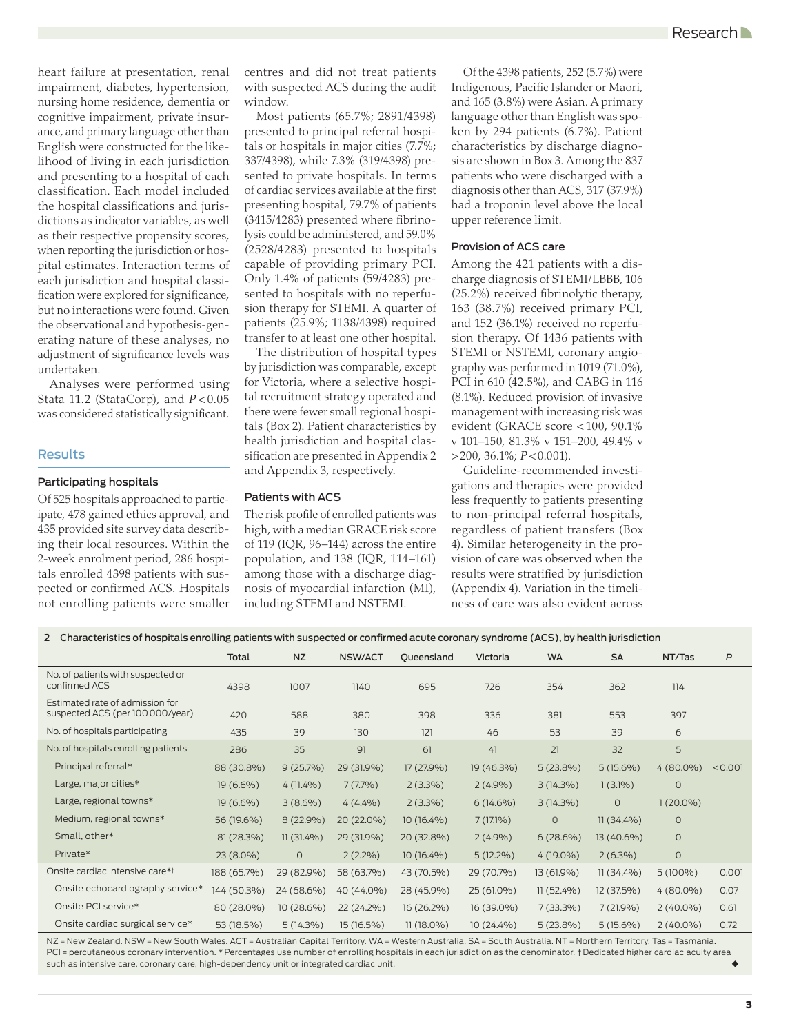heart failure at presentation, renal impairment, diabetes, hypertension, nursing home residence, dementia or cognitive impairment, private insurance, and primary language other than English were constructed for the likelihood of living in each jurisdiction and presenting to a hospital of each classification. Each model included the hospital classifications and jurisdictions as indicator variables, as well as their respective propensity scores, when reporting the jurisdiction or hospital estimates. Interaction terms of each jurisdiction and hospital classification were explored for significance, but no interactions were found. Given the observational and hypothesis-generating nature of these analyses, no adjustment of significance levels was undertaken.

Analyses were performed using Stata 11.2 (StataCorp), and *P* < 0.05 was considered statistically significant.

#### Results

#### Participating hospitals

Of 525 hospitals approached to participate, 478 gained ethics approval, and 435 provided site survey data describing their local resources. Within the 2-week enrolment period, 286 hospitals enrolled 4398 patients with suspected or confirmed ACS. Hospitals not enrolling patients were smaller

centres and did not treat patients with suspected ACS during the audit window.

Most patients (65.7%; 2891/4398) presented to principal referral hospitals or hospitals in major cities (7.7%; 337/4398), while 7.3% (319/4398) presented to private hospitals. In terms of cardiac services available at the first presenting hospital, 79.7% of patients  $(3415/4283)$  presented where fibrinolysis could be administered, and 59.0% (2528/4283) presented to hospitals capable of providing primary PCI. Only 1.4% of patients (59/4283) presented to hospitals with no reperfusion therapy for STEMI. A quarter of patients (25.9%; 1138/4398) required transfer to at least one other hospital.

The distribution of hospital types by jurisdiction was comparable, except for Victoria, where a selective hospital recruitment strategy operated and there were fewer small regional hospitals (Box 2). Patient characteristics by health jurisdiction and hospital classification are presented in Appendix 2 and Appendix 3, respectively.

#### Patients with ACS

The risk profile of enrolled patients was high, with a median GRACE risk score of 119 (IQR, 96–144) across the entire population, and 138 (IQR, 114–161) among those with a discharge diagnosis of myocardial infarction (MI), including STEMI and NSTEMI.

Of the 4398 patients, 252 (5.7%) were Indigenous, Pacific Islander or Maori, and 165 (3.8%) were Asian. A primary language other than English was spoken by 294 patients (6.7%). Patient characteristics by discharge diagnosis are shown in Box 3. Among the 837 patients who were discharged with a diagnosis other than ACS, 317 (37.9%) had a troponin level above the local upper reference limit.

#### Provision of ACS care

Among the 421 patients with a discharge diagnosis of STEMI/LBBB, 106  $(25.2\%)$  received fibrinolytic therapy, 163 (38.7%) received primary PCI, and 152 (36.1%) received no reperfusion therapy. Of 1436 patients with STEMI or NSTEMI, coronary angiography was performed in 1019 (71.0%), PCI in 610 (42.5%), and CABG in 116 (8.1%). Reduced provision of invasive management with increasing risk was evident (GRACE score < 100, 90.1% v 101–150, 81.3% v 151–200, 49.4% v  $> 200.36.1\%$ ;  $P < 0.001$ ).

Guideline-recommended investigations and therapies were provided less frequently to patients presenting to non-principal referral hospitals, regardless of patient transfers (Box 4). Similar heterogeneity in the provision of care was observed when the results were stratified by jurisdiction (Appendix 4). Variation in the timeliness of care was also evident across

2 Characteristics of hospitals enrolling patients with suspected or confirmed acute coronary syndrome (ACS), by health jurisdiction

|                                                                    | Total       | <b>NZ</b>    | NSW/ACT    | Queensland   | Victoria     | <b>WA</b>    | <b>SA</b>    | NT/Tas      | P       |
|--------------------------------------------------------------------|-------------|--------------|------------|--------------|--------------|--------------|--------------|-------------|---------|
| No. of patients with suspected or<br>confirmed ACS                 | 4398        | 1007         | 1140       | 695          | 726          | 354          | 362          | 114         |         |
| Estimated rate of admission for<br>suspected ACS (per 100000/year) | 420         | 588          | 380        | 398          | 336          | 381          | 553          | 397         |         |
| No. of hospitals participating                                     | 435         | 39           | 130        | 121          | 46           | 53           | 39           | 6           |         |
| No. of hospitals enrolling patients                                | 286         | 35           | 91         | 61           | 41           | 21           | 32           | 5           |         |
| Principal referral*                                                | 88 (30.8%)  | $9(25.7\%)$  | 29 (31.9%) | 17 (27.9%)   | 19 (46.3%)   | $5(23.8\%)$  | $5(15.6\%)$  | $4(80.0\%)$ | < 0.001 |
| Large, major cities*                                               | $19(6.6\%)$ | $4(11.4\%)$  | $7(7.7\%)$ | $2(3.3\%)$   | $2(4.9\%)$   | $3(14.3\%)$  | $1(3.1\%)$   | $\circ$     |         |
| Large, regional towns*                                             | 19 (6.6%)   | $3(8.6\%)$   | 4(4.4%)    | $2(3.3\%)$   | $6(14.6\%)$  | $3(14.3\%)$  | $\circ$      | $(20.0\%)$  |         |
| Medium, regional towns*                                            | 56 (19.6%)  | $8(22.9\%)$  | 20 (22.0%) | $10(16.4\%)$ | $7(17.1\%)$  | $\circ$      | $11(34.4\%)$ | $\circ$     |         |
| Small, other*                                                      | 81 (28.3%)  | $11(31.4\%)$ | 29 (31.9%) | 20 (32.8%)   | $2(4.9\%)$   | $6(28.6\%)$  | 13 (40.6%)   | $\circ$     |         |
| Private*                                                           | 23 (8.0%)   | 0            | $2(2.2\%)$ | $10(16.4\%)$ | $5(12.2\%)$  | $4(19.0\%)$  | $2(6.3\%)$   | $\circ$     |         |
| Onsite cardiac intensive care*1                                    | 188 (65.7%) | 29 (82.9%)   | 58 (63.7%) | 43 (70.5%)   | 29 (70.7%)   | 13 (61.9%)   | $11(34.4\%)$ | $5(100\%)$  | 0.001   |
| Onsite echocardiography service*                                   | 144 (50.3%) | 24 (68.6%)   | 40 (44.0%) | 28 (45.9%)   | 25 (61.0%)   | $11(52.4\%)$ | 12 (37.5%)   | $4(80.0\%)$ | 0.07    |
| Onsite PCI service*                                                | 80 (28.0%)  | 10 (28.6%)   | 22 (24.2%) | 16 (26.2%)   | 16 (39.0%)   | $7(33.3\%)$  | $7(21.9\%)$  | $2(40.0\%)$ | 0.61    |
| Onsite cardiac surgical service*                                   | 53 (18.5%)  | $5(14.3\%)$  | 15 (16.5%) | $11(18.0\%)$ | $10(24.4\%)$ | $5(23.8\%)$  | $5(15.6\%)$  | $2(40.0\%)$ | 0.72    |

NZ = New Zealand. NSW = New South Wales. ACT = Australian Capital Territory. WA = Western Australia. SA = South Australia. NT = Northern Territory. Tas = Tasmania. PCI = percutaneous coronary intervention. \* Percentages use number of enrolling hospitals in each jurisdiction as the denominator. † Dedicated higher cardiac acuity area such as intensive care, coronary care, high-dependency unit or integrated cardiac unit.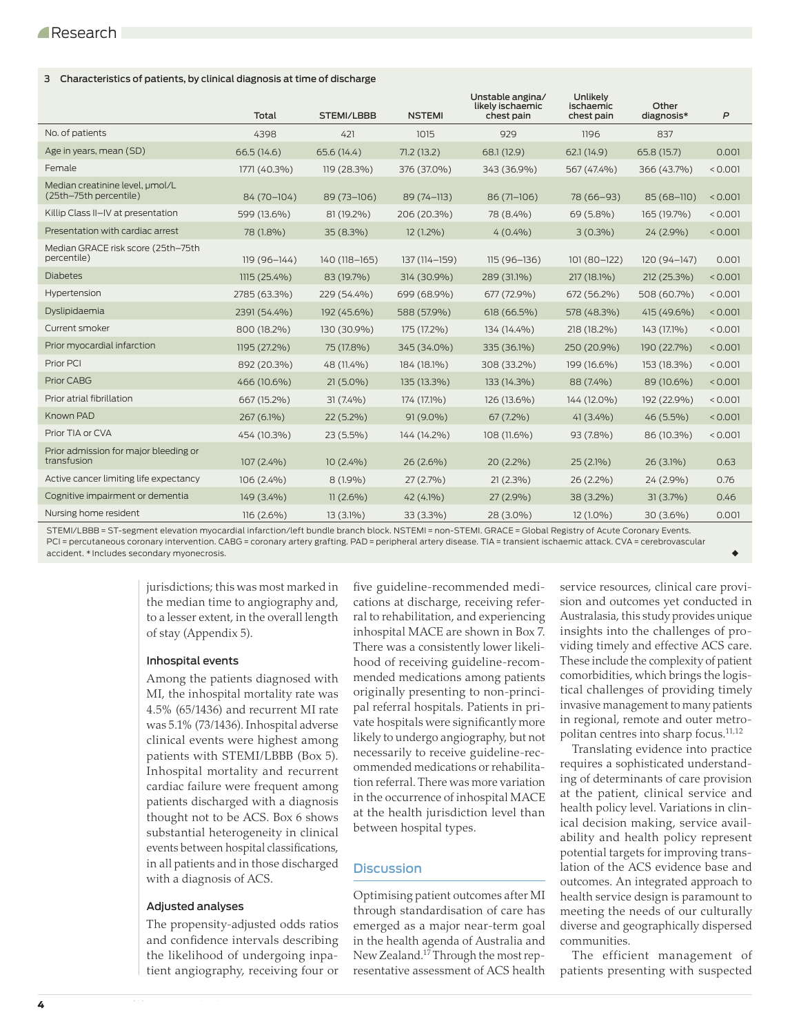#### 3 Characteristics of patients, by clinical diagnosis at time of discharge

|                                                           |                 |               |               | Unstable angina/<br>likely ischaemic | Unlikely<br>ischaemic | Other        |         |
|-----------------------------------------------------------|-----------------|---------------|---------------|--------------------------------------|-----------------------|--------------|---------|
|                                                           | Total           | STEMI/LBBB    | <b>NSTEMI</b> | chest pain                           | chest pain            | diagnosis*   | P       |
| No. of patients                                           | 4398            | 421           | 1015          | 929                                  | 1196                  | 837          |         |
| Age in years, mean (SD)                                   | 66.5 (14.6)     | 65.6 (14.4)   | 71.2(13.2)    | 68.1 (12.9)                          | 62.1(14.9)            | 65.8 (15.7)  | 0.001   |
| Female                                                    | 1771 (40.3%)    | 119 (28.3%)   | 376 (37.0%)   | 343 (36.9%)                          | 567 (47.4%)           | 366 (43.7%)  | < 0.001 |
| Median creatinine level, umol/L<br>(25th-75th percentile) | 84 (70-104)     | 89 (73-106)   | 89 (74-113)   | 86 (71-106)                          | 78 (66-93)            | 85 (68-110)  | < 0.001 |
| Killip Class II-IV at presentation                        | 599 (13.6%)     | 81 (19.2%)    | 206 (20.3%)   | 78 (8.4%)                            | 69 (5.8%)             | 165 (19.7%)  | < 0.001 |
| Presentation with cardiac arrest                          | 78 (1.8%)       | 35 (8.3%)     | $12(1.2\%)$   | 4(0.4%                               | $3(0.3\%)$            | 24 (2.9%)    | < 0.001 |
| Median GRACE risk score (25th-75th<br>percentile)         | $119(96 - 144)$ | 140 (118-165) | 137 (114-159) | $115(96 - 136)$                      | $101(80-122)$         | 120 (94-147) | 0.001   |
| <b>Diabetes</b>                                           | 1115 (25.4%)    | 83 (19.7%)    | 314 (30.9%)   | 289 (31.1%)                          | 217 (18.1%)           | 212 (25.3%)  | < 0.001 |
| Hypertension                                              | 2785 (63.3%)    | 229 (54.4%)   | 699 (68.9%)   | 677 (72.9%)                          | 672 (56.2%)           | 508 (60.7%)  | < 0.001 |
| Dyslipidaemia                                             | 2391 (54.4%)    | 192 (45.6%)   | 588 (57.9%)   | 618(66.5%)                           | 578 (48.3%)           | 415 (49.6%)  | < 0.001 |
| Current smoker                                            | 800 (18.2%)     | 130 (30.9%)   | 175 (17.2%)   | 134 (14.4%)                          | 218 (18.2%)           | 143 (17.1%)  | < 0.001 |
| Prior myocardial infarction                               | 1195 (27.2%)    | 75 (17.8%)    | 345 (34.0%)   | 335 (36.1%)                          | 250 (20.9%)           | 190 (22.7%)  | < 0.001 |
| Prior PCI                                                 | 892 (20.3%)     | 48 (11.4%)    | 184 (18.1%)   | 308 (33.2%)                          | 199 (16.6%)           | 153 (18.3%)  | < 0.001 |
| Prior CABG                                                | 466 (10.6%)     | $21(5.0\%)$   | 135 (13.3%)   | 133 (14.3%)                          | 88 (7.4%)             | 89 (10.6%)   | < 0.001 |
| Prior atrial fibrillation                                 | 667 (15.2%)     | $31(7.4\%)$   | 174 (17.1%)   | 126 (13.6%)                          | 144 (12.0%)           | 192 (22.9%)  | < 0.001 |
| Known PAD                                                 | 267 (6.1%)      | 22 (5.2%)     | $91(9.0\%)$   | 67 (7.2%)                            | 41(3.4%)              | 46 (5.5%)    | < 0.001 |
| Prior TIA or CVA                                          | 454 (10.3%)     | 23 (5.5%)     | 144 (14.2%)   | 108 (11.6%)                          | 93 (7.8%)             | 86 (10.3%)   | < 0.001 |
| Prior admission for major bleeding or<br>transfusion      | $107(2.4\%)$    | $10(2.4\%)$   | 26 (2.6%)     | 20 (2.2%)                            | 25 (2.1%)             | $26(3.1\%)$  | 0.63    |
| Active cancer limiting life expectancy                    | 106 (2.4%)      | $8(1.9\%)$    | 27 (2.7%)     | $21(2.3\%)$                          | 26 (2.2%)             | 24 (2.9%)    | 0.76    |
| Cognitive impairment or dementia                          | 149 (3.4%)      | $11(2.6\%)$   | 42 (4.1%)     | 27 (2.9%)                            | 38 (3.2%)             | $31(3.7\%)$  | 0.46    |
| Nursing home resident                                     | $116(2.6\%)$    | $13(3.1\%)$   | 33 (3.3%)     | 28 (3.0%)                            | 12 (1.0%)             | $30(3.6\%)$  | 0.001   |

STEMI/LBBB = ST-segment elevation myocardial infarction/left bundle branch block. NSTEMI = non-STEMI. GRACE = Global Registry of Acute Coronary Events. PCI = percutaneous coronary intervention. CABG = coronary artery grafting. PAD = peripheral artery disease. TIA = transient ischaemic attack. CVA = cerebrovascular accident. \* Includes secondary myonecrosis.

> jurisdictions; this was most marked in the median time to angiography and, to a lesser extent, in the overall length of stay (Appendix 5).

#### Inhospital events

Among the patients diagnosed with MI, the inhospital mortality rate was 4.5% (65/1436) and recurrent MI rate was 5.1% (73/1436). Inhospital adverse clinical events were highest among patients with STEMI/LBBB (Box 5). Inhospital mortality and recurrent cardiac failure were frequent among patients discharged with a diagnosis thought not to be ACS. Box 6 shows substantial heterogeneity in clinical events between hospital classifications, in all patients and in those discharged with a diagnosis of ACS.

#### Adjusted analyses

The propensity-adjusted odds ratios and confidence intervals describing the likelihood of undergoing inpatient angiography, receiving four or

five guideline-recommended medications at discharge, receiving referral to rehabilitation, and experiencing inhospital MACE are shown in Box 7. There was a consistently lower likelihood of receiving guideline-recommended medications among patients originally presenting to non-principal referral hospitals. Patients in private hospitals were significantly more likely to undergo angiography, but not necessarily to receive guideline-recommended medications or rehabilitation referral. There was more variation in the occurrence of inhospital MACE at the health jurisdiction level than between hospital types.

### **Discussion**

Optimising patient outcomes after MI through standardisation of care has emerged as a major near-term goal in the health agenda of Australia and New Zealand.<sup>17</sup> Through the most representative assessment of ACS health

service resources, clinical care provision and outcomes yet conducted in Australasia, this study provides unique insights into the challenges of providing timely and effective ACS care. These include the complexity of patient comorbidities, which brings the logistical challenges of providing timely invasive management to many patients in regional, remote and outer metropolitan centres into sharp focus.11,12

Translating evidence into practice requires a sophisticated understanding of determinants of care provision at the patient, clinical service and health policy level. Variations in clinical decision making, service availability and health policy represent potential targets for improving translation of the ACS evidence base and outcomes. An integrated approach to health service design is paramount to meeting the needs of our culturally diverse and geographically dispersed communities.

The efficient management of patients presenting with suspected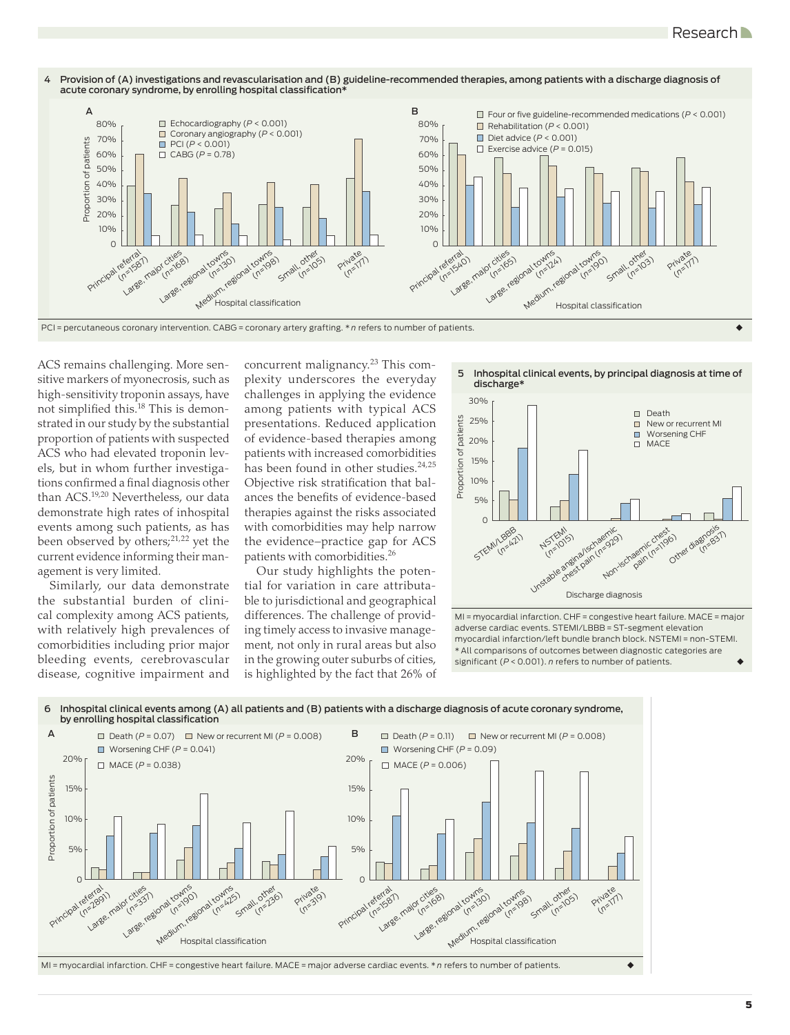

ACS remains challenging. More sensitive markers of myonecrosis, such as high-sensitivity troponin assays, have not simplified this.<sup>18</sup> This is demonstrated in our study by the substantial proportion of patients with suspected ACS who had elevated troponin levels, but in whom further investigations confirmed a final diagnosis other than ACS.19,20 Nevertheless, our data demonstrate high rates of inhospital events among such patients, as has been observed by others;<sup>21,22</sup> yet the current evidence informing their management is very limited.

Similarly, our data demonstrate the substantial burden of clinical complexity among ACS patients, with relatively high prevalences of comorbidities including prior major bleeding events, cerebrovascular disease, cognitive impairment and concurrent malignancy.23 This complexity underscores the everyday challenges in applying the evidence among patients with typical ACS presentations. Reduced application of evidence-based therapies among patients with increased comorbidities has been found in other studies.<sup>24,25</sup> Objective risk stratification that balances the benefits of evidence-based therapies against the risks associated with comorbidities may help narrow the evidence–practice gap for ACS patients with comorbidities.<sup>26</sup>

Our study highlights the potential for variation in care attributable to jurisdictional and geographical differences. The challenge of providing timely access to invasive management, not only in rural areas but also in the growing outer suburbs of cities, is highlighted by the fact that 26% of



MI = myocardial infarction. CHF = congestive heart failure. MACE = major adverse cardiac events. STEMI/LBBB = ST-segment elevation myocardial infarction/left bundle branch block. NSTEMI = non-STEMI. \* All comparisons of outcomes between diagnostic categories are significant (*P* < 0.001). *n* refers to number of patients.

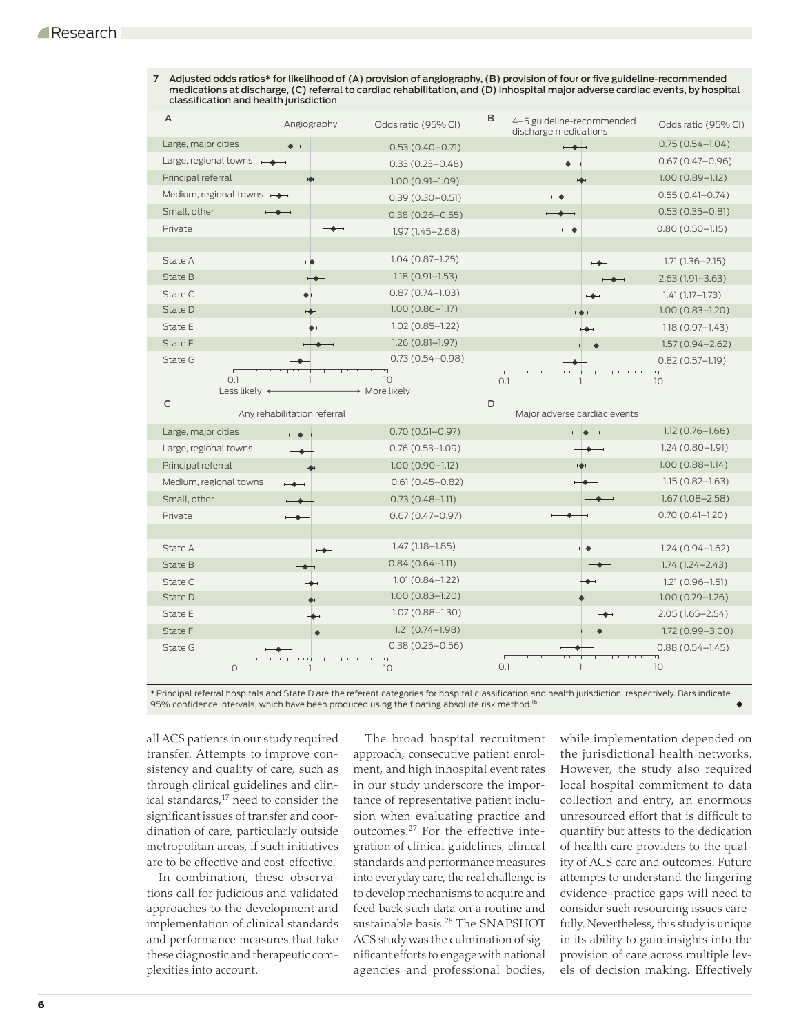7 Adjusted odds ratios\* for likelihood of (A) provision of angiography, (B) provision of four or five guideline-recommended medications at discharge, (C) referral to cardiac rehabilitation, and (D) inhospital major adverse cardiac events, by hospital classification and health jurisdiction

| А                                    | Angiography                 | Odds ratio (95% CI) | B<br>4-5 guideline-recommended<br>discharge medications | Odds ratio (95% CI) |
|--------------------------------------|-----------------------------|---------------------|---------------------------------------------------------|---------------------|
| Large, major cities                  | $\rightarrow$               | $0.53(0.40 - 0.71)$ |                                                         | $0.75(0.54 - 1.04)$ |
| Large, regional towns $\rightarrow$  |                             | $0.33(0.23 - 0.48)$ |                                                         | $0.67(0.47 - 0.96)$ |
| Principal referral                   |                             | $1.00(0.91 - 1.09)$ |                                                         | $1.00(0.89 - 1.12)$ |
| Medium, regional towns $\rightarrow$ |                             | $0.39(0.30 - 0.51)$ |                                                         | $0.55(0.41 - 0.74)$ |
| Small, other                         | $\longrightarrow$           | $0.38(0.26 - 0.55)$ |                                                         | $0.53(0.35 - 0.81)$ |
| Private                              |                             | $1.97(1.45 - 2.68)$ | $\rightarrow$                                           | $0.80(0.50 - 1.15)$ |
|                                      |                             |                     |                                                         |                     |
| State A                              | ⊢⊕⊣                         | $1.04(0.87 - 1.25)$ | $\rightarrow$                                           | $1.71(1.36 - 2.15)$ |
| State B                              | $\overline{\phantom{a}}$    | $1.18(0.91 - 1.53)$ | $\rightarrow$                                           | $2.63(1.91 - 3.63)$ |
| State C                              | ⊷                           | $0.87(0.74 - 1.03)$ | $\rightarrow$                                           | $1.41(1.17 - 1.73)$ |
| State D                              | ⊷                           | $1.00(0.86 - 1.17)$ |                                                         | $1.00(0.83 - 1.20)$ |
| State E                              |                             | $1.02(0.85 - 1.22)$ | ⊢                                                       | $1.18(0.97 - 1.43)$ |
| State F                              |                             | $1.26(0.81 - 1.97)$ |                                                         | $1.57(0.94 - 2.62)$ |
| State G                              |                             | $0.73(0.54 - 0.98)$ |                                                         | $0.82(0.57 - 1.19)$ |
| 0.1<br>Less likely <                 |                             | 10<br>More likely   | 0.1                                                     | 10                  |
|                                      |                             |                     |                                                         |                     |
| C                                    |                             |                     | D                                                       |                     |
|                                      | Any rehabilitation referral |                     | Major adverse cardiac events                            |                     |
| Large, major cities                  | $\longrightarrow$           | $0.70(0.51 - 0.97)$ | $\overline{\phantom{a}}$                                | $1.12(0.76 - 1.66)$ |
| Large, regional towns                | $\rightarrow$               | $0.76(0.53 - 1.09)$ |                                                         | $1.24(0.80 - 1.91)$ |
| Principal referral                   |                             | $1.00(0.90 - 1.12)$ |                                                         | $1.00(0.88 - 1.14)$ |
| Medium, regional towns               |                             | $0.61(0.45 - 0.82)$ |                                                         | $1.15(0.82 - 1.63)$ |
| Small, other                         |                             | $0.73(0.48 - 1.11)$ | $\longrightarrow$                                       | $1.67(1.08 - 2.58)$ |
| Private                              |                             | $0.67(0.47 - 0.97)$ |                                                         | $0.70(0.41 - 1.20)$ |
| State A                              | $\rightarrow$               | $1.47(1.18 - 1.85)$ | ⊢♠⊣                                                     | $1.24(0.94 - 1.62)$ |
| State B                              | $\rightarrow$               | $0.84(0.64 - 1.11)$ | $\overline{\phantom{a}}$                                | $1.74(1.24 - 2.43)$ |
| State C                              | ⊷                           | $1.01(0.84 - 1.22)$ | $\overline{\phantom{a}}$                                | $1.21(0.96 - 1.51)$ |
| State D                              |                             | $1.00(0.83 - 1.20)$ | $\rightarrow$                                           | $1.00(0.79 - 1.26)$ |
| State E                              |                             | $1.07(0.88 - 1.30)$ | $\rightarrow$                                           | $2.05(1.65 - 2.54)$ |
| State F                              |                             | $1.21(0.74 - 1.98)$ |                                                         | $1.72(0.99 - 3.00)$ |
| State G                              |                             | $0.38(0.25 - 0.56)$ |                                                         | $0.88(0.54 - 1.45)$ |

\* Principal referral hospitals and State D are the referent categories for hospital classification and health jurisdiction, respectively. Bars indicate 95% confidence intervals, which have been produced using the floating absolute risk method.<sup>16</sup>

all ACS patients in our study required transfer. Attempts to improve consistency and quality of care, such as through clinical guidelines and clinical standards,<sup>17</sup> need to consider the significant issues of transfer and coordination of care, particularly outside metropolitan areas, if such initiatives are to be effective and cost-effective.

In combination, these observations call for judicious and validated approaches to the development and implementation of clinical standards and performance measures that take these diagnostic and therapeutic complexities into account.

The broad hospital recruitment approach, consecutive patient enrolment, and high inhospital event rates in our study underscore the importance of representative patient inclusion when evaluating practice and outcomes.27 For the effective integration of clinical guidelines, clinical standards and performance measures into everyday care, the real challenge is to develop mechanisms to acquire and feed back such data on a routine and sustainable basis.<sup>28</sup> The SNAPSHOT ACS study was the culmination of significant efforts to engage with national agencies and professional bodies, while implementation depended on the jurisdictional health networks. However, the study also required local hospital commitment to data collection and entry, an enormous unresourced effort that is difficult to quantify but attests to the dedication of health care providers to the quality of ACS care and outcomes. Future attempts to understand the lingering evidence–practice gaps will need to consider such resourcing issues carefully. Nevertheless, this study is unique in its ability to gain insights into the provision of care across multiple levels of decision making. Effectively